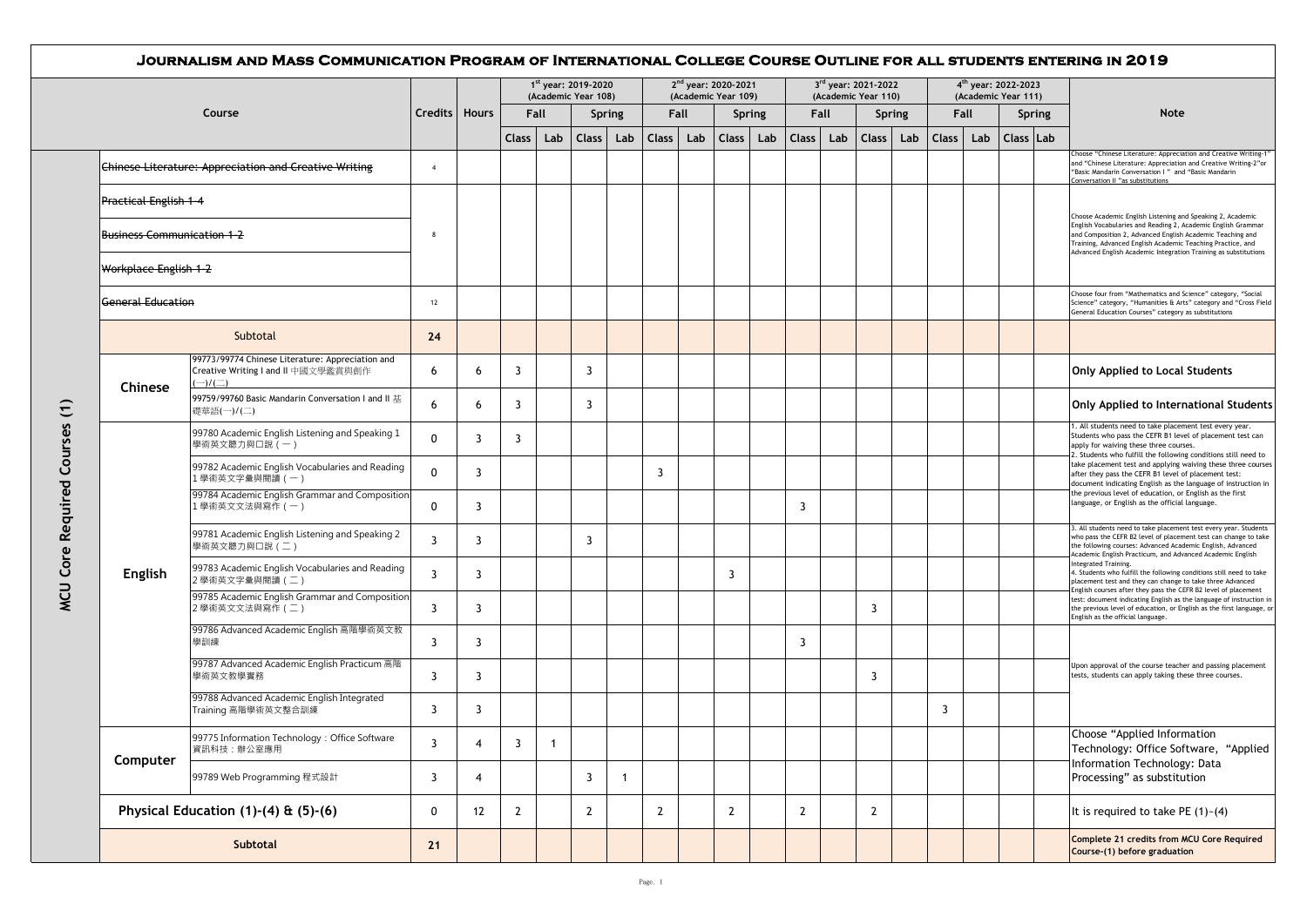|                               |                                   |                                                                                                          |                |       |                |                         | 1 <sup>st</sup> year: 2019-2020<br>(Academic Year 108) |                |              |     | 2 <sup>nd</sup> year: 2020-2021<br>(Academic Year 109) |     |                |      | 3rd year: 2021-2022<br>(Academic Year 110) |     |                    | 4 <sup>th</sup> year: 2022-2023<br>(Academic Year 111) |           |               |                                                                                                                                                                                                                                                                                                                                                                              |
|-------------------------------|-----------------------------------|----------------------------------------------------------------------------------------------------------|----------------|-------|----------------|-------------------------|--------------------------------------------------------|----------------|--------------|-----|--------------------------------------------------------|-----|----------------|------|--------------------------------------------|-----|--------------------|--------------------------------------------------------|-----------|---------------|------------------------------------------------------------------------------------------------------------------------------------------------------------------------------------------------------------------------------------------------------------------------------------------------------------------------------------------------------------------------------|
|                               |                                   | Course                                                                                                   | <b>Credits</b> | Hours |                | Fall                    |                                                        | <b>Spring</b>  | Fall         |     | <b>Spring</b>                                          |     |                | Fall | Spring                                     |     |                    | Fall                                                   |           | <b>Spring</b> | Note                                                                                                                                                                                                                                                                                                                                                                         |
|                               |                                   |                                                                                                          |                |       | Class          | Lab                     |                                                        | Class Lab      | <b>Class</b> | Lab | <b>Class</b>                                           | Lab | Class   Lab    |      | Class                                      | Lab | Class <sup> </sup> | Lab                                                    | Class Lab |               |                                                                                                                                                                                                                                                                                                                                                                              |
|                               |                                   | <b>Chinese Literature: Appreciation and Creative Writing</b>                                             | $\overline{4}$ |       |                |                         |                                                        |                |              |     |                                                        |     |                |      |                                            |     |                    |                                                        |           |               | Choose "Chinese Literature: Appreciation and Creative Writing-1'<br>and "Chinese Literature: Appreciation and Creative Writing-2"or<br>"Basic Mandarin Conversation I" and "Basic Mandarin<br>Conversation II "as substitutions                                                                                                                                              |
|                               | <b>Practical English 1-4</b>      |                                                                                                          |                |       |                |                         |                                                        |                |              |     |                                                        |     |                |      |                                            |     |                    |                                                        |           |               | Choose Academic English Listening and Speaking 2, Academic                                                                                                                                                                                                                                                                                                                   |
|                               | <b>Business Communication 1-2</b> |                                                                                                          | 8              |       |                |                         |                                                        |                |              |     |                                                        |     |                |      |                                            |     |                    |                                                        |           |               | English Vocabularies and Reading 2, Academic English Grammar<br>and Composition 2, Advanced English Academic Teaching and<br>Training, Advanced English Academic Teaching Practice, and<br>Advanced English Academic Integration Training as substitutions                                                                                                                   |
|                               | Workplace English 1-2             |                                                                                                          |                |       |                |                         |                                                        |                |              |     |                                                        |     |                |      |                                            |     |                    |                                                        |           |               |                                                                                                                                                                                                                                                                                                                                                                              |
|                               | <b>General Education</b>          |                                                                                                          | 12             |       |                |                         |                                                        |                |              |     |                                                        |     |                |      |                                            |     |                    |                                                        |           |               | Choose four from "Mathematics and Science" category, "Social<br>Science" category, "Humanities & Arts" category and "Cross Field<br>General Education Courses" category as substitutions                                                                                                                                                                                     |
|                               |                                   | Subtotal                                                                                                 | 24             |       |                |                         |                                                        |                |              |     |                                                        |     |                |      |                                            |     |                    |                                                        |           |               |                                                                                                                                                                                                                                                                                                                                                                              |
|                               | Chinese                           | 99773/99774 Chinese Literature: Appreciation and<br>Creative Writing I and II 中國文學鑑賞與創作<br>$-)/(\equiv)$ | 6              | 6     | 3              |                         | 3                                                      |                |              |     |                                                        |     |                |      |                                            |     |                    |                                                        |           |               | <b>Only Applied to Local Students</b>                                                                                                                                                                                                                                                                                                                                        |
|                               |                                   | 99759/99760 Basic Mandarin Conversation I and II 基<br>礎華語(一)/(二)                                         | 6              | 6     | 3              |                         | 3                                                      |                |              |     |                                                        |     |                |      |                                            |     |                    |                                                        |           |               | Only Applied to International Students                                                                                                                                                                                                                                                                                                                                       |
| MCU Core Required Courses (1) |                                   | 99780 Academic English Listening and Speaking 1<br>學術英文聽力與口說 (一)                                         | $\Omega$       | 3     | 3              |                         |                                                        |                |              |     |                                                        |     |                |      |                                            |     |                    |                                                        |           |               | 1. All students need to take placement test every year.<br>Students who pass the CEFR B1 level of placement test can<br>apply for waiving these three courses.<br>2. Students who fulfill the following conditions still need to                                                                                                                                             |
|                               |                                   | 99782 Academic English Vocabularies and Reading<br>1學術英文字彙與閱讀 (一)                                        | $\Omega$       | 3     |                |                         |                                                        |                | 3            |     |                                                        |     |                |      |                                            |     |                    |                                                        |           |               | take placement test and applying waiving these three courses<br>after they pass the CEFR B1 level of placement test:<br>document indicating English as the language of instruction in                                                                                                                                                                                        |
|                               |                                   | 99784 Academic English Grammar and Composition<br>. 學術英文文法與寫作 (一)                                        | $\mathbf 0$    | 3     |                |                         |                                                        |                |              |     |                                                        |     | 3              |      |                                            |     |                    |                                                        |           |               | the previous level of education, or English as the first<br>language, or English as the official language.<br>3. All students need to take placement test every year. Students<br>who pass the CEFR B2 level of placement test can change to take<br>the following courses: Advanced Academic English, Advanced<br>Academic English Practicum, and Advanced Academic English |
|                               |                                   | 99781 Academic English Listening and Speaking 2<br>學術英文聽力與口說 (二)                                         | $\overline{3}$ | 3     |                |                         | 3                                                      |                |              |     |                                                        |     |                |      |                                            |     |                    |                                                        |           |               |                                                                                                                                                                                                                                                                                                                                                                              |
|                               | English                           | 99783 Academic English Vocabularies and Reading<br>2學術英文字彙與閱讀 (二)                                        | $\overline{3}$ | 3     |                |                         |                                                        |                |              |     | 3                                                      |     |                |      |                                            |     |                    |                                                        |           |               | Integrated Training.<br>4. Students who fulfill the following conditions still need to take<br>placement test and they can change to take three Advanced<br>English courses after they pass the CEFR B2 level of placement                                                                                                                                                   |
|                               |                                   | 99785 Academic English Grammar and Composition<br>2學術英文文法與寫作 (二)                                         | $\overline{3}$ | 3     |                |                         |                                                        |                |              |     |                                                        |     |                |      | 3                                          |     |                    |                                                        |           |               | test: document indicating English as the language of instruction ir<br>the previous level of education, or English as the first language, o<br>English as the official language.                                                                                                                                                                                             |
|                               |                                   | 99786 Advanced Academic English 高階學術英文教<br>學訓練                                                           | 3              | 3     |                |                         |                                                        |                |              |     |                                                        |     | 3              |      |                                            |     |                    |                                                        |           |               |                                                                                                                                                                                                                                                                                                                                                                              |
|                               |                                   | 99787 Advanced Academic English Practicum 高階<br>學術英文教學實務                                                 | 3              | 3     |                |                         |                                                        |                |              |     |                                                        |     |                |      | 3                                          |     |                    |                                                        |           |               | Upon approval of the course teacher and passing placement<br>tests, students can apply taking these three courses.                                                                                                                                                                                                                                                           |
|                               |                                   | 99788 Advanced Academic English Integrated<br>Training 高階學術英文整合訓練                                        | $\overline{3}$ | 3     |                |                         |                                                        |                |              |     |                                                        |     |                |      |                                            |     | $\overline{3}$     |                                                        |           |               |                                                                                                                                                                                                                                                                                                                                                                              |
|                               | Computer                          | 99775 Information Technology: Office Software<br>資訊科技:辦公室應用                                              | $\overline{3}$ | 4     | $\overline{3}$ | $\overline{\mathbf{1}}$ |                                                        |                |              |     |                                                        |     |                |      |                                            |     |                    |                                                        |           |               | Choose "Applied Information<br>Technology: Office Software, "Applied                                                                                                                                                                                                                                                                                                         |
|                               |                                   | 99789 Web Programming 程式設計                                                                               | $\overline{3}$ | 4     |                |                         | 3                                                      | $\overline{1}$ |              |     |                                                        |     |                |      |                                            |     |                    |                                                        |           |               | Information Technology: Data<br>Processing" as substitution                                                                                                                                                                                                                                                                                                                  |
|                               |                                   | Physical Education $(1)-(4)$ & $(5)-(6)$                                                                 | $\mathbf 0$    | 12    | $\overline{2}$ |                         | $\overline{2}$                                         |                | $\mathbf{2}$ |     | $\overline{2}$                                         |     | $\overline{2}$ |      | $\mathbf{2}$                               |     |                    |                                                        |           |               | It is required to take PE $(1)$ - $(4)$                                                                                                                                                                                                                                                                                                                                      |
|                               |                                   | Subtotal                                                                                                 | 21             |       |                |                         |                                                        |                |              |     |                                                        |     |                |      |                                            |     |                    |                                                        |           |               | Complete 21 credits from MCU Core Required<br>Course-(1) before graduation                                                                                                                                                                                                                                                                                                   |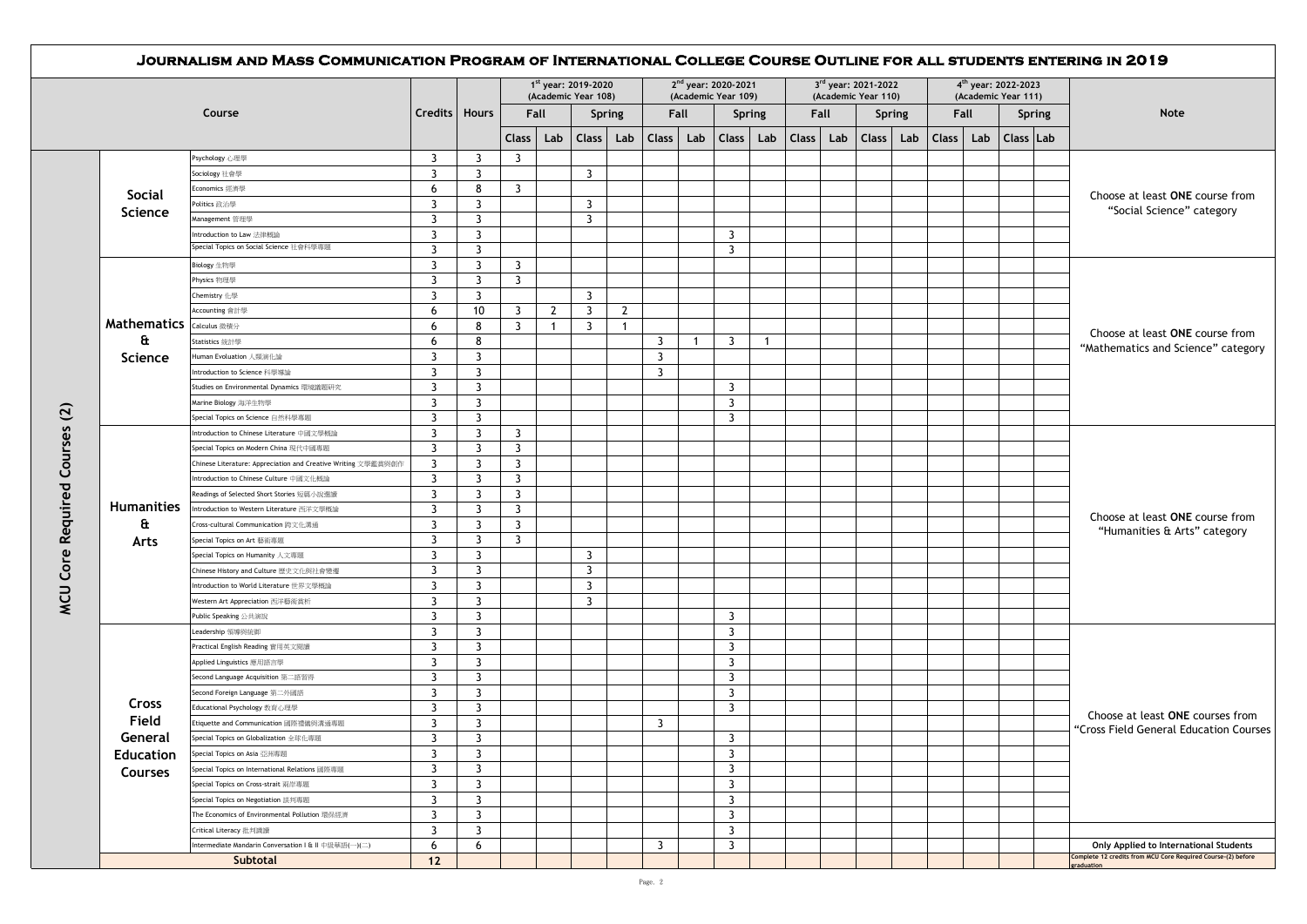|                   |                                                                               |                         |                     |                         |                | 1 <sup>st</sup> year: 2019-2020<br>(Academic Year 108) |                |                | 2 <sup>nd</sup> year: 2020-2021<br>(Academic Year 109) |                         |                |              |     | 3rd year: 2021-2022<br>(Academic Year 110) |               |       |      | 4 <sup>th</sup> year: 2022-2023<br>(Academic Year 111) |           |                                        |
|-------------------|-------------------------------------------------------------------------------|-------------------------|---------------------|-------------------------|----------------|--------------------------------------------------------|----------------|----------------|--------------------------------------------------------|-------------------------|----------------|--------------|-----|--------------------------------------------|---------------|-------|------|--------------------------------------------------------|-----------|----------------------------------------|
|                   | Course                                                                        | Credits   Hours         |                     |                         | Fall           |                                                        | <b>Spring</b>  |                | Fall                                                   | <b>Spring</b>           |                | Fall         |     |                                            | <b>Spring</b> |       | Fall |                                                        | Spring    | Note                                   |
|                   |                                                                               |                         |                     | <b>Class</b>            | Lab            | <b>Class</b>                                           | Lab            | <b>Class</b>   | Lab                                                    | <b>Class</b>            | Lab            | <b>Class</b> | Lab | <b>Class</b>                               | Lab           | Class | Lab  |                                                        | Class Lab |                                        |
|                   | Psychology 心理學                                                                | 3                       | 3                   | $\overline{\mathbf{3}}$ |                |                                                        |                |                |                                                        |                         |                |              |     |                                            |               |       |      |                                                        |           |                                        |
|                   | Sociology 社會學                                                                 | $\overline{3}$          | $\overline{3}$      |                         |                | $\overline{3}$                                         |                |                |                                                        |                         |                |              |     |                                            |               |       |      |                                                        |           |                                        |
| <b>Social</b>     | Economics 經濟學                                                                 | 6                       | 8                   | $\overline{\mathbf{3}}$ |                |                                                        |                |                |                                                        |                         |                |              |     |                                            |               |       |      |                                                        |           | Choose at least ONE course from        |
|                   | Politics 政治學                                                                  | $\overline{3}$          | 3                   |                         |                | $\overline{3}$                                         |                |                |                                                        |                         |                |              |     |                                            |               |       |      |                                                        |           | "Social Science" category              |
| Science           | Management管理學                                                                 | $\overline{3}$          | 3                   |                         |                | $\overline{3}$                                         |                |                |                                                        |                         |                |              |     |                                            |               |       |      |                                                        |           |                                        |
|                   | Introduction to Law 法律概論                                                      | $\overline{3}$          | 3                   |                         |                |                                                        |                |                |                                                        | 3                       |                |              |     |                                            |               |       |      |                                                        |           |                                        |
|                   | Special Topics on Social Science 社會科學專題                                       | $\overline{3}$          | 3                   |                         |                |                                                        |                |                |                                                        | $\mathbf{3}$            |                |              |     |                                            |               |       |      |                                                        |           |                                        |
|                   | Biology 生物學                                                                   | 3                       | 3                   | $\overline{3}$          |                |                                                        |                |                |                                                        |                         |                |              |     |                                            |               |       |      |                                                        |           |                                        |
|                   | Physics 物理學                                                                   | $\overline{3}$          | $\overline{3}$      | $\overline{3}$          |                |                                                        |                |                |                                                        |                         |                |              |     |                                            |               |       |      |                                                        |           |                                        |
|                   | Chemistry 化學                                                                  | $\overline{3}$          | 3                   |                         |                | $\overline{3}$                                         |                |                |                                                        |                         |                |              |     |                                            |               |       |      |                                                        |           |                                        |
|                   | Accounting 會計學                                                                | 6                       | 10                  | 3                       | $\overline{2}$ | $\overline{3}$                                         | $\overline{2}$ |                |                                                        |                         |                |              |     |                                            |               |       |      |                                                        |           |                                        |
| Mathematics       | Calculus 微積分                                                                  | 6                       | 8                   | $\overline{3}$          | -1             | 3                                                      | -1             |                |                                                        |                         |                |              |     |                                            |               |       |      |                                                        |           |                                        |
| a                 | Statistics 統計學                                                                | 6                       | 8                   |                         |                |                                                        |                | 3              | $\mathbf{1}$                                           | $\overline{\mathbf{3}}$ | $\overline{1}$ |              |     |                                            |               |       |      |                                                        |           | Choose at least ONE course from        |
| Science           | Human Evoluation 人類演化論                                                        | $\overline{3}$          | 3                   |                         |                |                                                        |                | $\overline{3}$ |                                                        |                         |                |              |     |                                            |               |       |      |                                                        |           | "Mathematics and Science" category     |
|                   | ntroduction to Science 科學導論                                                   | 3                       | 3                   |                         |                |                                                        |                | 3              |                                                        |                         |                |              |     |                                            |               |       |      |                                                        |           |                                        |
|                   | Studies on Environmental Dynamics 環境議題研究                                      | $\overline{3}$          | $\overline{3}$      |                         |                |                                                        |                |                |                                                        | $\overline{3}$          |                |              |     |                                            |               |       |      |                                                        |           |                                        |
|                   | Marine Biology 海洋生物學                                                          | $\overline{\mathbf{3}}$ | 3                   |                         |                |                                                        |                |                |                                                        | 3                       |                |              |     |                                            |               |       |      |                                                        |           |                                        |
|                   | Special Topics on Science 自然科學專題                                              | $\overline{3}$          | $\overline{3}$      |                         |                |                                                        |                |                |                                                        | $\mathbf{3}$            |                |              |     |                                            |               |       |      |                                                        |           |                                        |
|                   | Introduction to Chinese Literature 中國文學概論                                     | $\overline{3}$          | 3                   | $\overline{3}$          |                |                                                        |                |                |                                                        |                         |                |              |     |                                            |               |       |      |                                                        |           |                                        |
|                   | Special Topics on Modern China 現代中國專題                                         | $\overline{3}$          | 3                   | $\overline{3}$          |                |                                                        |                |                |                                                        |                         |                |              |     |                                            |               |       |      |                                                        |           |                                        |
|                   | Chinese Literature: Appreciation and Creative Writing 文學鑑賞與創作                 | $\overline{3}$          | 3                   | $\overline{3}$          |                |                                                        |                |                |                                                        |                         |                |              |     |                                            |               |       |      |                                                        |           |                                        |
|                   | Introduction to Chinese Culture 中國文化概論                                        | $\overline{3}$          | 3                   | $\overline{3}$          |                |                                                        |                |                |                                                        |                         |                |              |     |                                            |               |       |      |                                                        |           |                                        |
|                   | Readings of Selected Short Stories 短篇小說選讀                                     | $\overline{3}$          | 3                   | $\overline{3}$          |                |                                                        |                |                |                                                        |                         |                |              |     |                                            |               |       |      |                                                        |           |                                        |
| <b>Humanities</b> | Introduction to Western Literature 西洋文學概論                                     | 3                       | 3                   | $\overline{3}$          |                |                                                        |                |                |                                                        |                         |                |              |     |                                            |               |       |      |                                                        |           |                                        |
| £                 | Cross-cultural Communication 跨文化溝通                                            | $\overline{3}$          | 3                   | $\overline{3}$          |                |                                                        |                |                |                                                        |                         |                |              |     |                                            |               |       |      |                                                        |           | Choose at least ONE course from        |
| Arts              | Special Topics on Art 藝術專題                                                    | $\overline{3}$          | 3                   | $\overline{3}$          |                |                                                        |                |                |                                                        |                         |                |              |     |                                            |               |       |      |                                                        |           | "Humanities & Arts" category           |
|                   | Special Topics on Humanity 人文專題                                               | $\overline{3}$          | $\overline{3}$      |                         |                | $\overline{3}$                                         |                |                |                                                        |                         |                |              |     |                                            |               |       |      |                                                        |           |                                        |
|                   | Chinese History and Culture 歷史文化與社會變遷                                         | $\overline{3}$          | 3                   |                         |                | $\overline{3}$                                         |                |                |                                                        |                         |                |              |     |                                            |               |       |      |                                                        |           |                                        |
|                   | Introduction to World Literature 世界文學概論                                       | $\overline{3}$          | 3                   |                         |                | $\overline{3}$                                         |                |                |                                                        |                         |                |              |     |                                            |               |       |      |                                                        |           |                                        |
|                   | Western Art Appreciation 西洋藝術賞析                                               | $\overline{3}$          | $\overline{3}$      |                         |                | $\overline{3}$                                         |                |                |                                                        |                         |                |              |     |                                            |               |       |      |                                                        |           |                                        |
|                   | Public Speaking 公共演說                                                          | 3                       | 3                   |                         |                |                                                        |                |                |                                                        | 3                       |                |              |     |                                            |               |       |      |                                                        |           |                                        |
|                   | Leadership 領導與統御                                                              | $\overline{3}$          | $\overline{3}$      |                         |                |                                                        |                |                |                                                        | 3                       |                |              |     |                                            |               |       |      |                                                        |           |                                        |
|                   | Practical English Reading 實用英文閱讀                                              | $\overline{3}$          | 3                   |                         |                |                                                        |                |                |                                                        | $\mathbf{3}$            |                |              |     |                                            |               |       |      |                                                        |           |                                        |
|                   | Applied Linguistics 應用語言學                                                     | $\overline{3}$          | 3                   |                         |                |                                                        |                |                |                                                        | $\mathbf{3}$            |                |              |     |                                            |               |       |      |                                                        |           |                                        |
|                   | Second Language Acquisition 第二語習得                                             | $\overline{3}$          | 3                   |                         |                |                                                        |                |                |                                                        | $\overline{3}$          |                |              |     |                                            |               |       |      |                                                        |           |                                        |
|                   | Second Foreign Language 第二外國語                                                 | $\overline{3}$          | 3                   |                         |                |                                                        |                |                |                                                        | $\overline{3}$          |                |              |     |                                            |               |       |      |                                                        |           |                                        |
| Cross             | Educational Psychology 教育心理學                                                  | $\overline{3}$          | $\overline{3}$      |                         |                |                                                        |                |                |                                                        | $\mathbf{3}$            |                |              |     |                                            |               |       |      |                                                        |           |                                        |
| Field             | Etiquette and Communication 國際禮儀與溝通專題                                         | $\overline{3}$          | 3                   |                         |                |                                                        |                | 3              |                                                        |                         |                |              |     |                                            |               |       |      |                                                        |           | Choose at least ONE courses from       |
| General           | Special Topics on Globalization 全球化專題                                         | 3                       | $\overline{3}$      |                         |                |                                                        |                |                |                                                        | $\overline{3}$          |                |              |     |                                            |               |       |      |                                                        |           | "Cross Field General Education Courses |
|                   | Special Topics on Asia 亞洲專題                                                   | 3                       | 3                   |                         |                |                                                        |                |                |                                                        | 3                       |                |              |     |                                            |               |       |      |                                                        |           |                                        |
| <b>Education</b>  |                                                                               | $\overline{3}$          |                     |                         |                |                                                        |                |                |                                                        | 3                       |                |              |     |                                            |               |       |      |                                                        |           |                                        |
| <b>Courses</b>    | Special Topics on International Relations 國際專題                                |                         | 3                   |                         |                |                                                        |                |                |                                                        |                         |                |              |     |                                            |               |       |      |                                                        |           |                                        |
|                   | Special Topics on Cross-strait 兩岸專題                                           | 3<br>$\overline{3}$     | 3<br>$\overline{3}$ |                         |                |                                                        |                |                |                                                        | 3<br>3                  |                |              |     |                                            |               |       |      |                                                        |           |                                        |
|                   | Special Topics on Negotiation 談判專題                                            |                         |                     |                         |                |                                                        |                |                |                                                        |                         |                |              |     |                                            |               |       |      |                                                        |           |                                        |
|                   | The Economics of Environmental Pollution 環保經濟                                 | 3                       | 3                   |                         |                |                                                        |                |                |                                                        | 3                       |                |              |     |                                            |               |       |      |                                                        |           |                                        |
|                   | Critical Literacy 批判識讀<br>ntermediate Mandarin Conversation I & II 中級華語(一)(二) | 3<br>6                  | 3<br>6              |                         |                |                                                        |                | 3              |                                                        | 3<br>3                  |                |              |     |                                            |               |       |      |                                                        |           | Only Applied to International Students |
|                   |                                                                               |                         |                     |                         |                |                                                        |                |                |                                                        |                         |                |              |     |                                            |               |       |      |                                                        |           |                                        |

Page. 2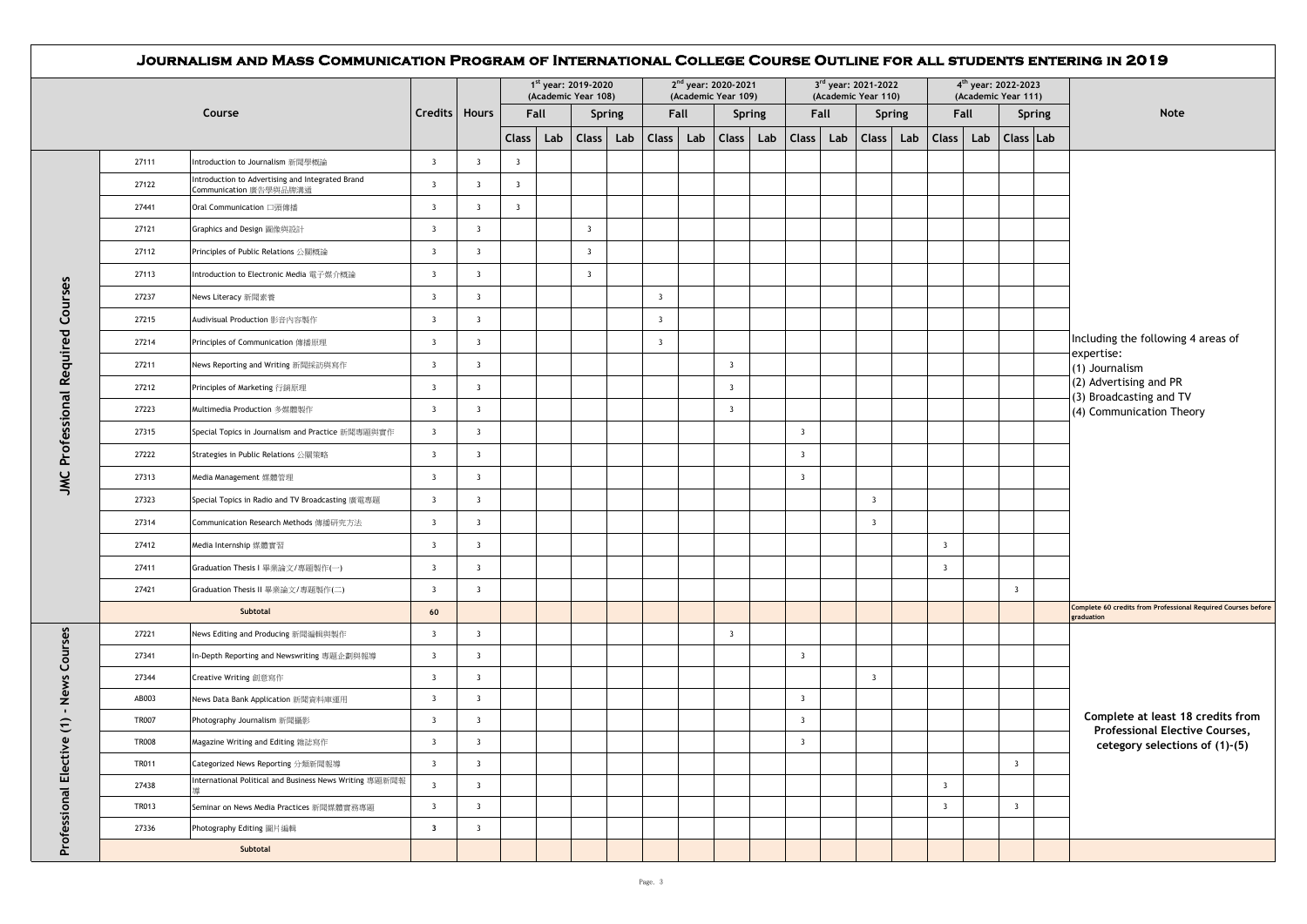|                             | Course       |                                                                            |                         |                         |                         |     | 1st year: 2019-2020<br>(Academic Year 108) |     |                         |      | 2 <sup>nd</sup> year: 2020-2021<br>(Academic Year 109) |               |                         |     | 3 <sup>rd</sup> year: 2021-2022<br>(Academic Year 110) |        |                         | 4 <sup>th</sup> year: 2022-2023<br>(Academic Year 111) |               |                                                                             |
|-----------------------------|--------------|----------------------------------------------------------------------------|-------------------------|-------------------------|-------------------------|-----|--------------------------------------------|-----|-------------------------|------|--------------------------------------------------------|---------------|-------------------------|-----|--------------------------------------------------------|--------|-------------------------|--------------------------------------------------------|---------------|-----------------------------------------------------------------------------|
|                             |              |                                                                            | Credits   Hours         |                         | Fall                    |     | <b>Spring</b>                              |     |                         | Fall |                                                        | <b>Spring</b> | Fall                    |     |                                                        | Spring | Fall                    |                                                        | <b>Spring</b> | Note                                                                        |
|                             |              |                                                                            |                         |                         | <b>Class</b>            | Lab | <b>Class</b>                               | Lab | <b>Class</b>            | Lab  | $Class \mid$                                           | Lab           | Class                   | Lab | <b>Class</b>                                           | Lab    | Class Lab               | Class   Lab                                            |               |                                                                             |
|                             | 27111        | Introduction to Journalism 新聞學概論                                           | $\overline{\mathbf{3}}$ | $\overline{\mathbf{3}}$ | $\overline{\mathbf{3}}$ |     |                                            |     |                         |      |                                                        |               |                         |     |                                                        |        |                         |                                                        |               |                                                                             |
|                             | 27122        | Introduction to Advertising and Integrated Brand<br>Communication 廣告學與品牌溝通 | $\overline{\mathbf{3}}$ | $\overline{\mathbf{3}}$ | $\overline{\mathbf{3}}$ |     |                                            |     |                         |      |                                                        |               |                         |     |                                                        |        |                         |                                                        |               |                                                                             |
|                             | 27441        | Oral Communication 口頭傳播                                                    | $\overline{\mathbf{3}}$ | $\overline{\mathbf{3}}$ | $\overline{\mathbf{3}}$ |     |                                            |     |                         |      |                                                        |               |                         |     |                                                        |        |                         |                                                        |               |                                                                             |
|                             | 27121        | Graphics and Design 圖像與設計                                                  | $\overline{\mathbf{3}}$ | $\overline{\mathbf{3}}$ |                         |     | $\overline{\mathbf{3}}$                    |     |                         |      |                                                        |               |                         |     |                                                        |        |                         |                                                        |               |                                                                             |
|                             | 27112        | Principles of Public Relations 公開概論                                        | $\overline{\mathbf{3}}$ | $\overline{\mathbf{3}}$ |                         |     | $\overline{\mathbf{3}}$                    |     |                         |      |                                                        |               |                         |     |                                                        |        |                         |                                                        |               |                                                                             |
|                             | 27113        | Introduction to Electronic Media 電子媒介概論                                    | $\overline{\mathbf{3}}$ | $\overline{\mathbf{3}}$ |                         |     | $\overline{\mathbf{3}}$                    |     |                         |      |                                                        |               |                         |     |                                                        |        |                         |                                                        |               |                                                                             |
| Courses                     | 27237        | News Literacy 新聞素養                                                         | $\overline{\mathbf{3}}$ | $\overline{\mathbf{3}}$ |                         |     |                                            |     | $\overline{\mathbf{3}}$ |      |                                                        |               |                         |     |                                                        |        |                         |                                                        |               |                                                                             |
|                             | 27215        | Audivisual Production 影音內容製作                                               | $\overline{\mathbf{3}}$ | $\overline{\mathbf{3}}$ |                         |     |                                            |     | $\overline{\mathbf{3}}$ |      |                                                        |               |                         |     |                                                        |        |                         |                                                        |               |                                                                             |
|                             | 27214        | Principles of Communication 傳播原理                                           | $\overline{\mathbf{3}}$ | $\overline{\mathbf{3}}$ |                         |     |                                            |     | $\overline{\mathbf{3}}$ |      |                                                        |               |                         |     |                                                        |        |                         |                                                        |               | Including the following 4 areas of                                          |
| JMC Professional Required   | 27211        | News Reporting and Writing 新聞採訪與寫作                                         | $\overline{\mathbf{3}}$ | $\overline{\mathbf{3}}$ |                         |     |                                            |     |                         |      | $\overline{\mathbf{3}}$                                |               |                         |     |                                                        |        |                         |                                                        |               | expertise:<br>(1) Journalism                                                |
|                             | 27212        | Principles of Marketing 行銷原理                                               | $\overline{\mathbf{3}}$ | $\overline{\mathbf{3}}$ |                         |     |                                            |     |                         |      | $\overline{3}$                                         |               |                         |     |                                                        |        |                         |                                                        |               | (2) Advertising and PR<br>(3) Broadcasting and TV                           |
|                             | 27223        | Multimedia Production 多媒體製作                                                | $\overline{\mathbf{3}}$ | $\overline{\mathbf{3}}$ |                         |     |                                            |     |                         |      | $\overline{\mathbf{3}}$                                |               |                         |     |                                                        |        |                         |                                                        |               | (4) Communication Theory                                                    |
|                             | 27315        | Special Topics in Journalism and Practice 新聞專題與實作                          | $\overline{\mathbf{3}}$ | $\overline{\mathbf{3}}$ |                         |     |                                            |     |                         |      |                                                        |               | $\overline{\mathbf{3}}$ |     |                                                        |        |                         |                                                        |               |                                                                             |
|                             | 27222        | Strategies in Public Relations 公開策略                                        | $\overline{\mathbf{3}}$ | $\overline{\mathbf{3}}$ |                         |     |                                            |     |                         |      |                                                        |               | $\overline{\mathbf{3}}$ |     |                                                        |        |                         |                                                        |               |                                                                             |
|                             | 27313        | Media Management 媒體管理                                                      | $\overline{\mathbf{3}}$ | $\overline{\mathbf{3}}$ |                         |     |                                            |     |                         |      |                                                        |               | $\overline{\mathbf{3}}$ |     |                                                        |        |                         |                                                        |               |                                                                             |
|                             | 27323        | Special Topics in Radio and TV Broadcasting 廣電專題                           | $\overline{\mathbf{3}}$ | $\overline{\mathbf{3}}$ |                         |     |                                            |     |                         |      |                                                        |               |                         |     | $\overline{\mathbf{3}}$                                |        |                         |                                                        |               |                                                                             |
|                             | 27314        | Communication Research Methods 傳播研究方法                                      | $\overline{\mathbf{3}}$ | $\overline{\mathbf{3}}$ |                         |     |                                            |     |                         |      |                                                        |               |                         |     | $\overline{\mathbf{3}}$                                |        |                         |                                                        |               |                                                                             |
|                             | 27412        | Media Internship 媒體實習                                                      | $\overline{\mathbf{3}}$ | $\overline{\mathbf{3}}$ |                         |     |                                            |     |                         |      |                                                        |               |                         |     |                                                        |        | $\overline{\mathbf{3}}$ |                                                        |               |                                                                             |
|                             | 27411        | Graduation Thesis I 畢業論文/專題製作(一)                                           | $\overline{\mathbf{3}}$ | $\overline{\mathbf{3}}$ |                         |     |                                            |     |                         |      |                                                        |               |                         |     |                                                        |        | $\overline{\mathbf{3}}$ |                                                        |               |                                                                             |
|                             | 27421        | Graduation Thesis II 畢業論文/專題製作(二)                                          | $\overline{\mathbf{3}}$ | $\overline{\mathbf{3}}$ |                         |     |                                            |     |                         |      |                                                        |               |                         |     |                                                        |        |                         | $\overline{\mathbf{3}}$                                |               |                                                                             |
|                             |              | Subtotal                                                                   | 60                      |                         |                         |     |                                            |     |                         |      |                                                        |               |                         |     |                                                        |        |                         |                                                        |               | Complete 60 credits from Professional Required Courses before<br>graduation |
|                             | 27221        | News Editing and Producing 新聞編輯與製作                                         | $\overline{\mathbf{3}}$ | $\overline{\mathbf{3}}$ |                         |     |                                            |     |                         |      | $\overline{\mathbf{3}}$                                |               |                         |     |                                                        |        |                         |                                                        |               |                                                                             |
| Courses                     | 27341        | n-Depth Reporting and Newswriting 專題企劃與報導                                  | $\overline{\mathbf{3}}$ | $\overline{\mathbf{3}}$ |                         |     |                                            |     |                         |      |                                                        |               | $\overline{\mathbf{3}}$ |     |                                                        |        |                         |                                                        |               |                                                                             |
|                             | 27344        | Creative Writing 創意寫作                                                      | $\overline{\mathbf{3}}$ | $\overline{\mathbf{3}}$ |                         |     |                                            |     |                         |      |                                                        |               |                         |     | $\overline{\mathbf{3}}$                                |        |                         |                                                        |               |                                                                             |
| <b>News</b><br>$\mathbf{I}$ | AB003        | News Data Bank Application 新聞資料庫運用                                         | 3                       | $\overline{\mathbf{3}}$ |                         |     |                                            |     |                         |      |                                                        |               | $\overline{\mathbf{3}}$ |     |                                                        |        |                         |                                                        |               |                                                                             |
| $\widehat{E}$               | <b>TR007</b> | Photography Journalism 新聞攝影                                                | $\overline{\mathbf{3}}$ | $\overline{\mathbf{3}}$ |                         |     |                                            |     |                         |      |                                                        |               | $\overline{\mathbf{3}}$ |     |                                                        |        |                         |                                                        |               | Complete at least 18 credits from<br><b>Professional Elective Courses,</b>  |
| $\mathbf{\omega}$           | <b>TR008</b> | Magazine Writing and Editing 雜誌寫作                                          | 3                       | $\overline{\mathbf{3}}$ |                         |     |                                            |     |                         |      |                                                        |               | $\overline{\mathbf{3}}$ |     |                                                        |        |                         |                                                        |               | cetegory selections of (1)-(5)                                              |
|                             | <b>TR011</b> | Categorized News Reporting 分類新聞報導                                          | $\overline{\mathbf{3}}$ | $\overline{\mathbf{3}}$ |                         |     |                                            |     |                         |      |                                                        |               |                         |     |                                                        |        |                         | $\overline{\mathbf{3}}$                                |               |                                                                             |
|                             | 27438        | International Political and Business News Writing 專題新聞報                    | $\overline{\mathbf{3}}$ | $\overline{\mathbf{3}}$ |                         |     |                                            |     |                         |      |                                                        |               |                         |     |                                                        |        | $\overline{\mathbf{3}}$ |                                                        |               |                                                                             |
|                             | <b>TR013</b> | Seminar on News Media Practices 新聞媒體實務專題                                   | $\overline{\mathbf{3}}$ | $\overline{\mathbf{3}}$ |                         |     |                                            |     |                         |      |                                                        |               |                         |     |                                                        |        | $\overline{\mathbf{3}}$ | $\overline{\mathbf{3}}$                                |               |                                                                             |
| Professional Electiv        | 27336        | Photography Editing 圖片編輯                                                   | $\overline{\mathbf{3}}$ | $\overline{\mathbf{3}}$ |                         |     |                                            |     |                         |      |                                                        |               |                         |     |                                                        |        |                         |                                                        |               |                                                                             |
|                             |              | Subtotal                                                                   |                         |                         |                         |     |                                            |     |                         |      |                                                        |               |                         |     |                                                        |        |                         |                                                        |               |                                                                             |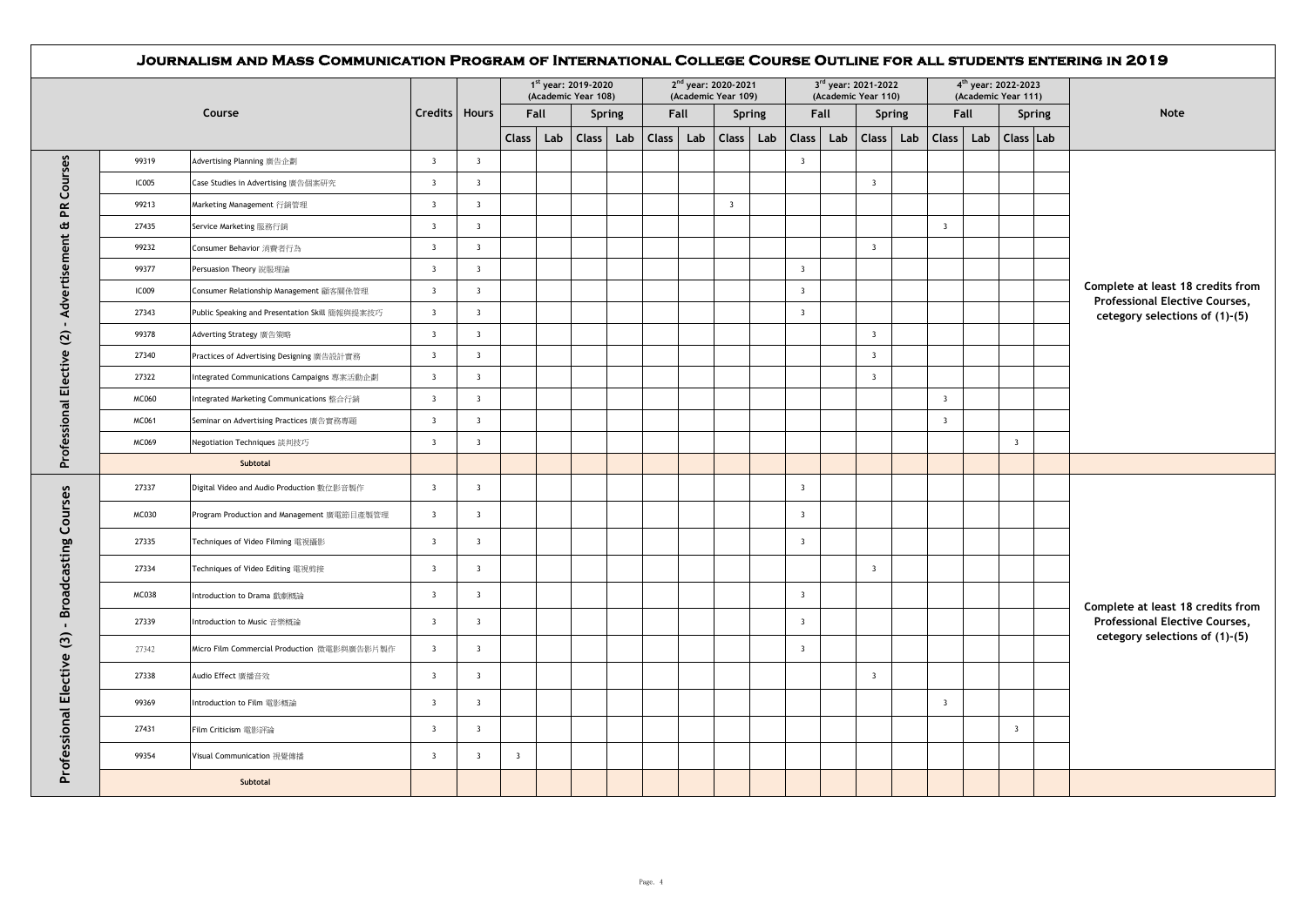|              |                                                |                         |                         |                |     | 1st year: 2019-2020<br>(Academic Year 108) |                    |      | 2 <sup>nd</sup> year: 2020-2021<br>(Academic Year 109) |     |                         | 3rd year: 2021-2022<br>(Academic Year 110) |                         |               |                         | 4 <sup>th</sup> year: 2022-2023 | (Academic Year 111)     |        |                                                                  |
|--------------|------------------------------------------------|-------------------------|-------------------------|----------------|-----|--------------------------------------------|--------------------|------|--------------------------------------------------------|-----|-------------------------|--------------------------------------------|-------------------------|---------------|-------------------------|---------------------------------|-------------------------|--------|------------------------------------------------------------------|
|              | Course                                         | <b>Credits</b>          | <b>Hours</b>            | Fall           |     | Spring                                     |                    | Fall | <b>Spring</b>                                          |     |                         | Fall                                       |                         | <b>Spring</b> |                         | Fall                            |                         | Spring | <b>Note</b>                                                      |
|              |                                                |                         |                         | Class          | Lab | <b>Class</b><br>Lab                        | Class <sup>1</sup> | Lab  | <b>Class</b>                                           | Lab | <b>Class</b>            | Lab                                        | Class                   | Lab           | <b>Class</b>            | Lab                             | Class Lab               |        |                                                                  |
| 99319        | Advertising Planning 廣告企劃                      | $\overline{\mathbf{3}}$ | $\overline{\mathbf{3}}$ |                |     |                                            |                    |      |                                                        |     | $\overline{\mathbf{3}}$ |                                            |                         |               |                         |                                 |                         |        |                                                                  |
| <b>IC005</b> | Case Studies in Advertising 廣告個案研究             | $\overline{\mathbf{3}}$ | $\overline{\mathbf{3}}$ |                |     |                                            |                    |      |                                                        |     |                         |                                            | $\overline{\mathbf{3}}$ |               |                         |                                 |                         |        |                                                                  |
| 99213        | Marketing Management 行銷管理                      | $\overline{\mathbf{3}}$ | $\overline{\mathbf{3}}$ |                |     |                                            |                    |      | $\overline{\mathbf{3}}$                                |     |                         |                                            |                         |               |                         |                                 |                         |        |                                                                  |
| 27435        | Service Marketing 服務行銷                         | $\overline{\mathbf{3}}$ | $\overline{\mathbf{3}}$ |                |     |                                            |                    |      |                                                        |     |                         |                                            |                         |               | $\overline{\mathbf{3}}$ |                                 |                         |        |                                                                  |
| 99232        | Consumer Behavior 消費者行為                        | $\overline{\mathbf{3}}$ | $\overline{\mathbf{3}}$ |                |     |                                            |                    |      |                                                        |     |                         |                                            | $\overline{\mathbf{3}}$ |               |                         |                                 |                         |        |                                                                  |
| 99377        | Persuasion Theory 說服理論                         | $\overline{\mathbf{3}}$ | $\overline{\mathbf{3}}$ |                |     |                                            |                    |      |                                                        |     | $\overline{\mathbf{3}}$ |                                            |                         |               |                         |                                 |                         |        |                                                                  |
| <b>IC009</b> | Consumer Relationship Management 顧客關係管理        | $\overline{\mathbf{3}}$ | $\overline{\mathbf{3}}$ |                |     |                                            |                    |      |                                                        |     | $\overline{\mathbf{3}}$ |                                            |                         |               |                         |                                 |                         |        | Complete at least 18 credits from                                |
| 27343        | Public Speaking and Presentation Skill 簡報與提案技巧 | $\overline{\mathbf{3}}$ | $\overline{\mathbf{3}}$ |                |     |                                            |                    |      |                                                        |     | $\overline{\mathbf{3}}$ |                                            |                         |               |                         |                                 |                         |        | Professional Elective Courses,<br>cetegory selections of (1)-(5) |
| 99378        | Adverting Strategy 廣告策略                        | $\overline{\mathbf{3}}$ | $\overline{\mathbf{3}}$ |                |     |                                            |                    |      |                                                        |     |                         |                                            | $\overline{\mathbf{3}}$ |               |                         |                                 |                         |        |                                                                  |
| 27340        | Practices of Advertising Designing 廣告設計實務      | $\overline{\mathbf{3}}$ | $\overline{\mathbf{3}}$ |                |     |                                            |                    |      |                                                        |     |                         |                                            | $\overline{\mathbf{3}}$ |               |                         |                                 |                         |        |                                                                  |
| 27322        | Integrated Communications Campaigns 專案活動企劃     | $\overline{\mathbf{3}}$ | $\overline{\mathbf{3}}$ |                |     |                                            |                    |      |                                                        |     |                         |                                            | $\overline{\mathbf{3}}$ |               |                         |                                 |                         |        |                                                                  |
| MC060        | Integrated Marketing Communications 整合行銷       | $\overline{\mathbf{3}}$ | $\overline{\mathbf{3}}$ |                |     |                                            |                    |      |                                                        |     |                         |                                            |                         |               | $\overline{\mathbf{3}}$ |                                 |                         |        |                                                                  |
| MC061        | Seminar on Advertising Practices 廣告實務專題        | $\overline{\mathbf{3}}$ | $\overline{\mathbf{3}}$ |                |     |                                            |                    |      |                                                        |     |                         |                                            |                         |               | $\overline{\mathbf{3}}$ |                                 |                         |        |                                                                  |
| MC069        | Negotiation Techniques 談判技巧                    | $\overline{\mathbf{3}}$ | $\overline{\mathbf{3}}$ |                |     |                                            |                    |      |                                                        |     |                         |                                            |                         |               |                         |                                 | $\overline{\mathbf{3}}$ |        |                                                                  |
|              | Subtotal                                       |                         |                         |                |     |                                            |                    |      |                                                        |     |                         |                                            |                         |               |                         |                                 |                         |        |                                                                  |
| 27337        | Digital Video and Audio Production 數位影音製作      | $\overline{\mathbf{3}}$ | $\overline{\mathbf{3}}$ |                |     |                                            |                    |      |                                                        |     | $\overline{\mathbf{3}}$ |                                            |                         |               |                         |                                 |                         |        |                                                                  |
| MC030        | Program Production and Management 廣電節目產製管理     | $\overline{\mathbf{3}}$ | $\overline{\mathbf{3}}$ |                |     |                                            |                    |      |                                                        |     | $\overline{\mathbf{3}}$ |                                            |                         |               |                         |                                 |                         |        |                                                                  |
| 27335        | Techniques of Video Filming 電視攝影               | $\overline{\mathbf{3}}$ | $\overline{\mathbf{3}}$ |                |     |                                            |                    |      |                                                        |     | $\overline{\mathbf{3}}$ |                                            |                         |               |                         |                                 |                         |        |                                                                  |
| 27334        | Techniques of Video Editing 電視剪接               | $\overline{\mathbf{3}}$ | $\overline{\mathbf{3}}$ |                |     |                                            |                    |      |                                                        |     |                         |                                            | $\overline{\mathbf{3}}$ |               |                         |                                 |                         |        |                                                                  |
| MC038        | Introduction to Drama 戲劇概論                     | $\overline{\mathbf{3}}$ | $\overline{\mathbf{3}}$ |                |     |                                            |                    |      |                                                        |     | $\overline{\mathbf{3}}$ |                                            |                         |               |                         |                                 |                         |        | Complete at least 18 credits from                                |
| 27339        | Introduction to Music 音樂概論                     | $\overline{\mathbf{3}}$ | $\overline{\mathbf{3}}$ |                |     |                                            |                    |      |                                                        |     | $\overline{\mathbf{3}}$ |                                            |                         |               |                         |                                 |                         |        | <b>Professional Elective Courses,</b>                            |
| 27342        | Micro Film Commercial Production 微電影與廣告影片製作    | $\overline{\mathbf{3}}$ | $\overline{\mathbf{3}}$ |                |     |                                            |                    |      |                                                        |     | $\overline{\mathbf{3}}$ |                                            |                         |               |                         |                                 |                         |        | cetegory selections of (1)-(5)                                   |
| 27338        | Audio Effect 廣播音效                              | $\overline{\mathbf{3}}$ | $\overline{\mathbf{3}}$ |                |     |                                            |                    |      |                                                        |     |                         |                                            | $\overline{3}$          |               |                         |                                 |                         |        |                                                                  |
| 99369        | Introduction to Film 電影概論                      | $\overline{\mathbf{3}}$ | $\overline{\mathbf{3}}$ |                |     |                                            |                    |      |                                                        |     |                         |                                            |                         |               | $\overline{\mathbf{3}}$ |                                 |                         |        |                                                                  |
| 27431        | Film Criticism 電影評論                            | $\overline{\mathbf{3}}$ | $\overline{\mathbf{3}}$ |                |     |                                            |                    |      |                                                        |     |                         |                                            |                         |               |                         |                                 | $\overline{\mathbf{3}}$ |        |                                                                  |
| 99354        | Visual Communication 視覺傳播                      | $\overline{\mathbf{3}}$ | $\overline{\mathbf{3}}$ | $\overline{3}$ |     |                                            |                    |      |                                                        |     |                         |                                            |                         |               |                         |                                 |                         |        |                                                                  |
|              | Subtotal                                       |                         |                         |                |     |                                            |                    |      |                                                        |     |                         |                                            |                         |               |                         |                                 |                         |        |                                                                  |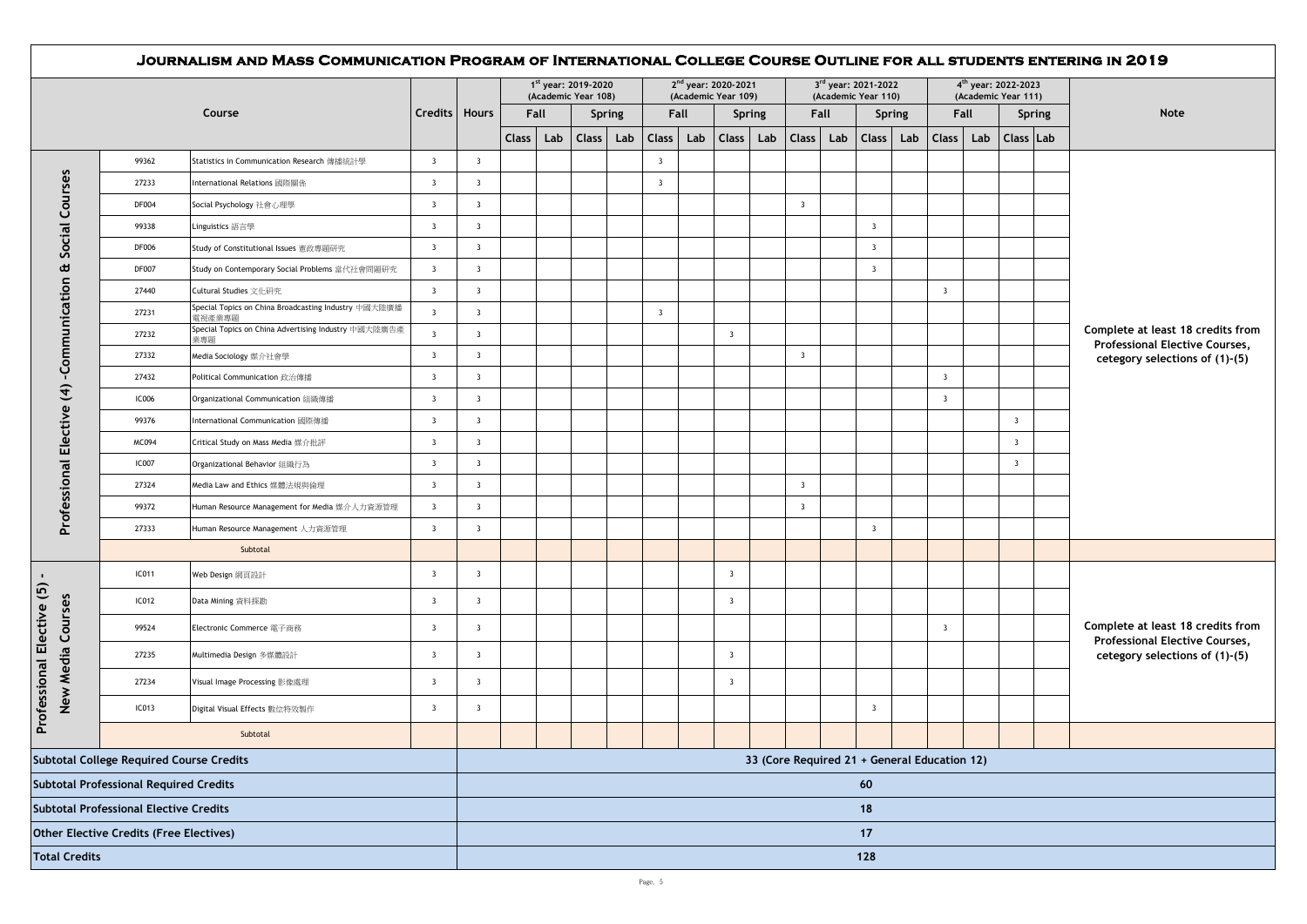|                                                |                                                 | JOURNALISM AND MASS COMMUNICATION PROGRAM OF INTERNATIONAL COLLEGE COURSE OUTLINE FOR ALL STUDENTS ENTERING IN 2019 |                         |                         |              |     | 1 <sup>st</sup> year: 2019-2020<br>(Academic Year 108) |        |                         |      | 2 <sup>nd</sup> year: 2020-2021<br>(Academic Year 109) |        |                                              |      | 3rd year: 2021-2022<br>(Academic Year 110) |               |                         |      | 4 <sup>th</sup> year: 2022-2023<br>(Academic Year 111) |               |                                                                            |
|------------------------------------------------|-------------------------------------------------|---------------------------------------------------------------------------------------------------------------------|-------------------------|-------------------------|--------------|-----|--------------------------------------------------------|--------|-------------------------|------|--------------------------------------------------------|--------|----------------------------------------------|------|--------------------------------------------|---------------|-------------------------|------|--------------------------------------------------------|---------------|----------------------------------------------------------------------------|
|                                                |                                                 | Course                                                                                                              | Credits   Hours         |                         | Fall         |     |                                                        | Spring |                         | Fall |                                                        | Spring |                                              | Fall |                                            | <b>Spring</b> |                         | Fall |                                                        | <b>Spring</b> | Note                                                                       |
|                                                |                                                 |                                                                                                                     |                         |                         | <b>Class</b> | Lab | <b>Class</b>                                           | Lab    | Class                   | Lab  | Class                                                  | Lab    | Class                                        | Lab  | Class <sup>1</sup>                         | Lab           | <b>Class</b>            | Lab  | Class Lab                                              |               |                                                                            |
|                                                | 99362                                           | Statistics in Communication Research 傳播統計學                                                                          | $\overline{\mathbf{3}}$ | $\overline{\mathbf{3}}$ |              |     |                                                        |        | $\overline{\mathbf{3}}$ |      |                                                        |        |                                              |      |                                            |               |                         |      |                                                        |               |                                                                            |
|                                                | 27233                                           | International Relations 國際關係                                                                                        | $\overline{\mathbf{3}}$ | $\overline{\mathbf{3}}$ |              |     |                                                        |        | $\overline{\mathbf{3}}$ |      |                                                        |        |                                              |      |                                            |               |                         |      |                                                        |               |                                                                            |
| Social Courses                                 | <b>DF004</b>                                    | Social Psychology 社會心理學                                                                                             | $\overline{\mathbf{3}}$ | $\overline{\mathbf{3}}$ |              |     |                                                        |        |                         |      |                                                        |        | $\overline{\mathbf{3}}$                      |      |                                            |               |                         |      |                                                        |               |                                                                            |
|                                                | 99338                                           | Linguistics 語言學                                                                                                     | $\overline{\mathbf{3}}$ | $\overline{\mathbf{3}}$ |              |     |                                                        |        |                         |      |                                                        |        |                                              |      | $\overline{\mathbf{3}}$                    |               |                         |      |                                                        |               |                                                                            |
|                                                | <b>DF006</b>                                    | Study of Constitutional Issues 憲政專題研究                                                                               | $\overline{\mathbf{3}}$ | $\overline{\mathbf{3}}$ |              |     |                                                        |        |                         |      |                                                        |        |                                              |      | $\overline{\mathbf{3}}$                    |               |                         |      |                                                        |               |                                                                            |
| Œ                                              | <b>DF007</b>                                    | Study on Contemporary Social Problems 當代社會問題研究                                                                      | $\overline{\mathbf{3}}$ | $\overline{\mathbf{3}}$ |              |     |                                                        |        |                         |      |                                                        |        |                                              |      | $\overline{\mathbf{3}}$                    |               |                         |      |                                                        |               |                                                                            |
|                                                | 27440                                           | Cultural Studies 文化研究                                                                                               | $\overline{\mathbf{3}}$ | $\overline{\mathbf{3}}$ |              |     |                                                        |        |                         |      |                                                        |        |                                              |      |                                            |               | $\overline{\mathbf{3}}$ |      |                                                        |               |                                                                            |
|                                                | 27231                                           | Special Topics on China Broadcasting Industry 中國大陸廣播<br>電視產業專題                                                      | $\overline{\mathbf{3}}$ | $\overline{\mathbf{3}}$ |              |     |                                                        |        | $\overline{\mathbf{3}}$ |      |                                                        |        |                                              |      |                                            |               |                         |      |                                                        |               |                                                                            |
| -Communication                                 | 27232                                           | Special Topics on China Advertising Industry 中國大陸廣告產<br>業專題                                                         | $\overline{\mathbf{3}}$ | $\overline{\mathbf{3}}$ |              |     |                                                        |        |                         |      | $\overline{\mathbf{3}}$                                |        |                                              |      |                                            |               |                         |      |                                                        |               | Complete at least 18 credits from<br><b>Professional Elective Courses,</b> |
|                                                | 27332                                           | Media Sociology 媒介社會學                                                                                               | $\overline{\mathbf{3}}$ | $\overline{\mathbf{3}}$ |              |     |                                                        |        |                         |      |                                                        |        | $\overline{\mathbf{3}}$                      |      |                                            |               |                         |      |                                                        |               | cetegory selections of (1)-(5)                                             |
|                                                | 27432                                           | Political Communication 政治傳播                                                                                        | $\overline{\mathbf{3}}$ | $\overline{\mathbf{3}}$ |              |     |                                                        |        |                         |      |                                                        |        |                                              |      |                                            |               | $\overline{\mathbf{3}}$ |      |                                                        |               |                                                                            |
| $\widehat{\mathcal{F}}$                        | <b>IC006</b>                                    | Organizational Communication 組織傳播                                                                                   | $\overline{\mathbf{3}}$ | $\overline{\mathbf{3}}$ |              |     |                                                        |        |                         |      |                                                        |        |                                              |      |                                            |               | $\overline{\mathbf{3}}$ |      |                                                        |               |                                                                            |
|                                                | 99376                                           | International Communication 國際傳播                                                                                    | $\overline{\mathbf{3}}$ | $\overline{\mathbf{3}}$ |              |     |                                                        |        |                         |      |                                                        |        |                                              |      |                                            |               |                         |      | $\overline{\mathbf{3}}$                                |               |                                                                            |
|                                                | MC094                                           | Critical Study on Mass Media 媒介批評                                                                                   | $\overline{\mathbf{3}}$ | $\overline{\mathbf{3}}$ |              |     |                                                        |        |                         |      |                                                        |        |                                              |      |                                            |               |                         |      | $\overline{\mathbf{3}}$                                |               |                                                                            |
| Professional Elective                          | <b>IC007</b>                                    | Organizational Behavior 組織行為                                                                                        | $\overline{\mathbf{3}}$ | $\overline{\mathbf{3}}$ |              |     |                                                        |        |                         |      |                                                        |        |                                              |      |                                            |               |                         |      | $\overline{\mathbf{3}}$                                |               |                                                                            |
|                                                | 27324                                           | Media Law and Ethics 媒體法規與倫理                                                                                        | $\overline{\mathbf{3}}$ | $\overline{\mathbf{3}}$ |              |     |                                                        |        |                         |      |                                                        |        | $\overline{\mathbf{3}}$                      |      |                                            |               |                         |      |                                                        |               |                                                                            |
|                                                | 99372                                           | Human Resource Management for Media 媒介人力資源管理                                                                        | $\overline{\mathbf{3}}$ | $\overline{\mathbf{3}}$ |              |     |                                                        |        |                         |      |                                                        |        | $\overline{\mathbf{3}}$                      |      |                                            |               |                         |      |                                                        |               |                                                                            |
|                                                | 27333                                           | Human Resource Management 人力資源管理                                                                                    | $\overline{\mathbf{3}}$ | $\overline{\mathbf{3}}$ |              |     |                                                        |        |                         |      |                                                        |        |                                              |      | $\overline{\mathbf{3}}$                    |               |                         |      |                                                        |               |                                                                            |
|                                                |                                                 | Subtotal                                                                                                            |                         |                         |              |     |                                                        |        |                         |      |                                                        |        |                                              |      |                                            |               |                         |      |                                                        |               |                                                                            |
| $\mathbf{I}$                                   | IC011                                           | Web Design 網頁設計                                                                                                     | $\overline{\mathbf{3}}$ | $\overline{\mathbf{3}}$ |              |     |                                                        |        |                         |      | $\overline{\mathbf{3}}$                                |        |                                              |      |                                            |               |                         |      |                                                        |               |                                                                            |
| Professional Elective (5)                      | IC012                                           | Data Mining 資料探勘                                                                                                    | $\overline{\mathbf{3}}$ | $\overline{\mathbf{3}}$ |              |     |                                                        |        |                         |      | $\overline{\mathbf{3}}$                                |        |                                              |      |                                            |               |                         |      |                                                        |               |                                                                            |
| New Media Courses                              | 99524                                           | Electronic Commerce 電子商務                                                                                            | $\overline{\mathbf{3}}$ | $\overline{\mathbf{3}}$ |              |     |                                                        |        |                         |      |                                                        |        |                                              |      |                                            |               | $\overline{\mathbf{3}}$ |      |                                                        |               | Complete at least 18 credits from<br><b>Professional Elective Courses,</b> |
|                                                | 27235                                           | Multimedia Design 多媒體設計                                                                                             | $\overline{\mathbf{3}}$ | $\overline{\mathbf{3}}$ |              |     |                                                        |        |                         |      | $\overline{\mathbf{3}}$                                |        |                                              |      |                                            |               |                         |      |                                                        |               | cetegory selections of (1)-(5)                                             |
|                                                | 27234                                           | Visual Image Processing 影像處理                                                                                        | $\overline{\mathbf{3}}$ | $\overline{\mathbf{3}}$ |              |     |                                                        |        |                         |      | $\overline{\mathbf{3}}$                                |        |                                              |      |                                            |               |                         |      |                                                        |               |                                                                            |
|                                                | IC013                                           | Digital Visual Effects 數位特效製作                                                                                       | $\overline{\mathbf{3}}$ | $\overline{\mathbf{3}}$ |              |     |                                                        |        |                         |      |                                                        |        |                                              |      | $\overline{\mathbf{3}}$                    |               |                         |      |                                                        |               |                                                                            |
|                                                |                                                 | Subtotal                                                                                                            |                         |                         |              |     |                                                        |        |                         |      |                                                        |        |                                              |      |                                            |               |                         |      |                                                        |               |                                                                            |
|                                                | <b>Subtotal College Required Course Credits</b> |                                                                                                                     |                         |                         |              |     |                                                        |        |                         |      |                                                        |        | 33 (Core Required 21 + General Education 12) |      |                                            |               |                         |      |                                                        |               |                                                                            |
| <b>Subtotal Professional Required Credits</b>  | 60                                              |                                                                                                                     |                         |                         |              |     |                                                        |        |                         |      |                                                        |        |                                              |      |                                            |               |                         |      |                                                        |               |                                                                            |
| <b>Subtotal Professional Elective Credits</b>  |                                                 |                                                                                                                     |                         |                         | 18           |     |                                                        |        |                         |      |                                                        |        |                                              |      |                                            |               |                         |      |                                                        |               |                                                                            |
| <b>Other Elective Credits (Free Electives)</b> |                                                 |                                                                                                                     |                         |                         |              |     |                                                        |        |                         |      |                                                        |        |                                              |      | 17                                         |               |                         |      |                                                        |               |                                                                            |
| <b>Total Credits</b>                           |                                                 |                                                                                                                     |                         |                         |              |     |                                                        |        |                         |      |                                                        | 128    |                                              |      |                                            |               |                         |      |                                                        |               |                                                                            |